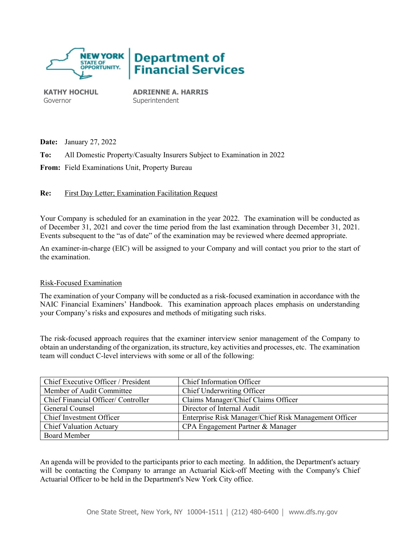

**KATHY HOCHUL** Governor

**ADRIENNE A. HARRIS** Superintendent

**Date:** January 27, 2022

**To:** All Domestic Property/Casualty Insurers Subject to Examination in 2022

**From:** Field Examinations Unit, Property Bureau

**Re:** First Day Letter; Examination Facilitation Request

Your Company is scheduled for an examination in the year 2022. The examination will be conducted as of December 31, 2021 and cover the time period from the last examination through December 31, 2021. Events subsequent to the "as of date" of the examination may be reviewed where deemed appropriate.

An examiner-in-charge (EIC) will be assigned to your Company and will contact you prior to the start of the examination.

## Risk-Focused Examination

The examination of your Company will be conducted as a risk-focused examination in accordance with the NAIC Financial Examiners' Handbook. This examination approach places emphasis on understanding your Company's risks and exposures and methods of mitigating such risks.

The risk-focused approach requires that the examiner interview senior management of the Company to obtain an understanding of the organization, its structure, key activities and processes, etc. The examination team will conduct C-level interviews with some or all of the following:

| Chief Executive Officer / President | Chief Information Officer                             |
|-------------------------------------|-------------------------------------------------------|
| Member of Audit Committee           | Chief Underwriting Officer                            |
| Chief Financial Officer/Controller  | Claims Manager/Chief Claims Officer                   |
| General Counsel                     | Director of Internal Audit                            |
| Chief Investment Officer            | Enterprise Risk Manager/Chief Risk Management Officer |
| <b>Chief Valuation Actuary</b>      | CPA Engagement Partner & Manager                      |
| Board Member                        |                                                       |

An agenda will be provided to the participants prior to each meeting. In addition, the Department's actuary will be contacting the Company to arrange an Actuarial Kick-off Meeting with the Company's Chief Actuarial Officer to be held in the Department's New York City office.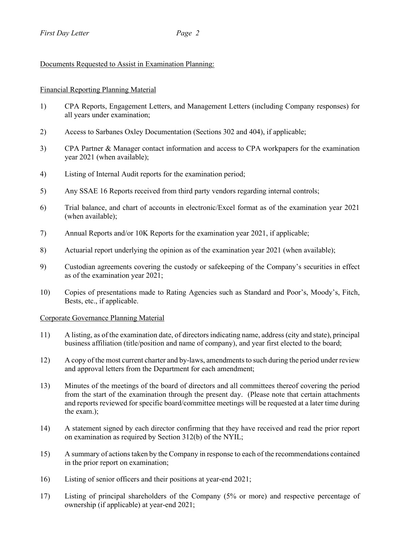# Documents Requested to Assist in Examination Planning:

## Financial Reporting Planning Material

- 1) CPA Reports, Engagement Letters, and Management Letters (including Company responses) for all years under examination;
- 2) Access to Sarbanes Oxley Documentation (Sections 302 and 404), if applicable;
- 3) CPA Partner & Manager contact information and access to CPA workpapers for the examination year 2021 (when available);
- 4) Listing of Internal Audit reports for the examination period;
- 5) Any SSAE 16 Reports received from third party vendors regarding internal controls;
- 6) Trial balance, and chart of accounts in electronic/Excel format as of the examination year 2021 (when available);
- 7) Annual Reports and/or 10K Reports for the examination year 2021, if applicable;
- 8) Actuarial report underlying the opinion as of the examination year 2021 (when available);
- 9) Custodian agreements covering the custody or safekeeping of the Company's securities in effect as of the examination year 2021;
- 10) Copies of presentations made to Rating Agencies such as Standard and Poor's, Moody's, Fitch, Bests, etc., if applicable.

## Corporate Governance Planning Material

- 11) A listing, as of the examination date, of directors indicating name, address (city and state), principal business affiliation (title/position and name of company), and year first elected to the board;
- 12) A copy of the most current charter and by-laws, amendments to such during the period under review and approval letters from the Department for each amendment;
- 13) Minutes of the meetings of the board of directors and all committees thereof covering the period from the start of the examination through the present day. (Please note that certain attachments and reports reviewed for specific board/committee meetings will be requested at a later time during the exam.);
- 14) A statement signed by each director confirming that they have received and read the prior report on examination as required by Section 312(b) of the NYIL;
- 15) A summary of actions taken by the Company in response to each of the recommendations contained in the prior report on examination;
- 16) Listing of senior officers and their positions at year-end 2021;
- 17) Listing of principal shareholders of the Company (5% or more) and respective percentage of ownership (if applicable) at year-end 2021;